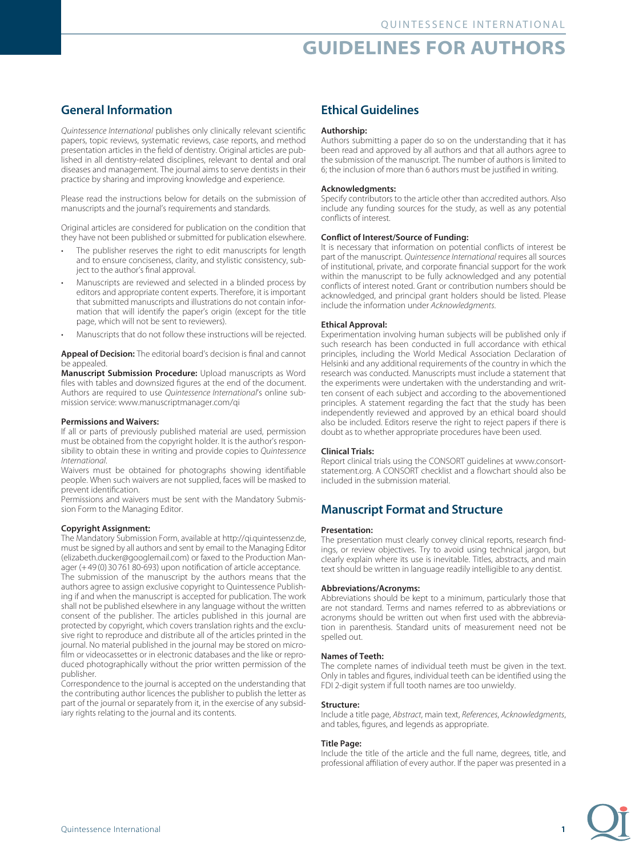# **GUIDELINES FOR AUTHORS**

# **General Information**

*Quintessence International* publishes only clinically relevant scientific papers, topic reviews, systematic reviews, case reports, and method presentation articles in the field of dentistry. Original articles are published in all dentistry-related disciplines, relevant to dental and oral diseases and management. The journal aims to serve dentists in their practice by sharing and improving knowledge and experience.

Please read the instructions below for details on the submission of manuscripts and the journal's requirements and standards.

Original articles are considered for publication on the condition that they have not been published or submitted for publication elsewhere.

- The publisher reserves the right to edit manuscripts for length and to ensure conciseness, clarity, and stylistic consistency, subject to the author's final approval.
- Manuscripts are reviewed and selected in a blinded process by editors and appropriate content experts. Therefore, it is important that submitted manuscripts and illustrations do not contain information that will identify the paper's origin (except for the title page, which will not be sent to reviewers).
- Manuscripts that do not follow these instructions will be rejected.

### **Appeal of Decision:** The editorial board's decision is final and cannot be annealed.

**Manuscript Submission Procedure:** Upload manuscripts as Word files with tables and downsized figures at the end of the document. Authors are required to use *Quintessence International*'s online submission service: www.manuscriptmanager.com/qi

## **Permissions and Waivers:**

If all or parts of previously published material are used, permission must be obtained from the copyright holder. It is the author's responsibility to obtain these in writing and provide copies to *Quintessence International*.

Waivers must be obtained for photographs showing identifiable people. When such waivers are not supplied, faces will be masked to prevent identification.

Permissions and waivers must be sent with the Mandatory Submission Form to the Managing Editor.

## **Copyright Assignment:**

The Mandatory Submission Form, available at http://qi.quintessenz.de, must be signed by all authors and sent by email to the Managing Editor (elizabeth.ducker@googlemail.com) or faxed to the Production Manager (+49 (0) 30 761 80-693) upon notification of article acceptance.

The submission of the manuscript by the authors means that the authors agree to assign exclusive copyright to Quintessence Publishing if and when the manuscript is accepted for publication. The work shall not be published elsewhere in any language without the written consent of the publisher. The articles published in this journal are protected by copyright, which covers translation rights and the exclusive right to reproduce and distribute all of the articles printed in the journal. No material published in the journal may be stored on microfilm or videocassettes or in electronic databases and the like or reproduced photographically without the prior written permission of the publisher.

Correspondence to the journal is accepted on the understanding that the contributing author licences the publisher to publish the letter as part of the journal or separately from it, in the exercise of any subsidiary rights relating to the journal and its contents.

# **Ethical Guidelines**

# **Authorship:**

Authors submitting a paper do so on the understanding that it has been read and approved by all authors and that all authors agree to the submission of the manuscript. The number of authors is limited to 6; the inclusion of more than 6 authors must be justified in writing.

## **Acknowledgments:**

Specify contributors to the article other than accredited authors. Also include any funding sources for the study, as well as any potential conflicts of interest.

# **Conflict of Interest/Source of Funding:**

It is necessary that information on potential conflicts of interest be part of the manuscript. *Quintessence International* requires all sources of institutional, private, and corporate financial support for the work within the manuscript to be fully acknowledged and any potential conflicts of interest noted. Grant or contribution numbers should be acknowledged, and principal grant holders should be listed. Please include the information under *Acknowledgments*.

### **Ethical Approval:**

Experimentation involving human subjects will be published only if such research has been conducted in full accordance with ethical principles, including the World Medical Association Declaration of Helsinki and any additional requirements of the country in which the research was conducted. Manuscripts must include a statement that the experiments were undertaken with the understanding and written consent of each subject and according to the abovementioned principles. A statement regarding the fact that the study has been independently reviewed and approved by an ethical board should also be included. Editors reserve the right to reject papers if there is doubt as to whether appropriate procedures have been used.

## **Clinical Trials:**

Report clinical trials using the CONSORT guidelines at www.consortstatement.org. A CONSORT checklist and a flowchart should also be included in the submission material.

# **Manuscript Format and Structure**

## **Presentation:**

The presentation must clearly convey clinical reports, research findings, or review objectives. Try to avoid using technical jargon, but clearly explain where its use is inevitable. Titles, abstracts, and main text should be written in language readily intelligible to any dentist.

## **Abbreviations/Acronyms:**

Abbreviations should be kept to a minimum, particularly those that are not standard. Terms and names referred to as abbreviations or acronyms should be written out when first used with the abbreviation in parenthesis. Standard units of measurement need not be spelled out.

# **Names of Teeth:**

The complete names of individual teeth must be given in the text. Only in tables and figures, individual teeth can be identified using the FDI 2-digit system if full tooth names are too unwieldy.

## **Structure:**

Include a title page, *Abstract*, main text, *References*, *Acknowledgments*, and tables, figures, and legends as appropriate.

## **Title Page:**

Include the title of the article and the full name, degrees, title, and professional affiliation of every author. If the paper was presented in a

**1**